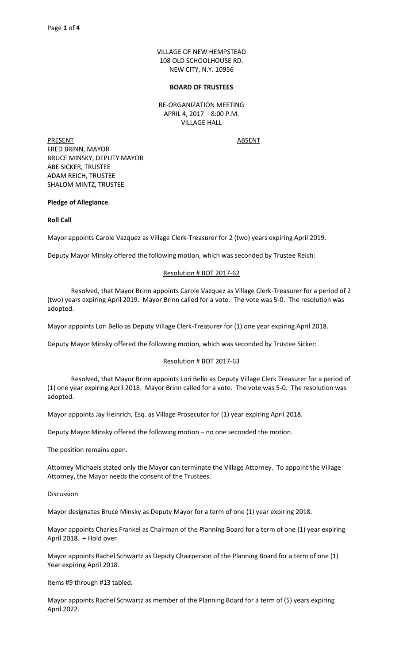VILLAGE OF NEW HEMPSTEAD 108 OLD SCHOOLHOUSE RD. NEW CITY, N.Y. 10956

#### **BOARD OF TRUSTEES**

RE-ORGANIZATION MEETING APRIL 4, 2017 – 8:00 P.M. VILLAGE HALL

PRESENT ABSENT FRED BRINN, MAYOR BRUCE MINSKY, DEPUTY MAYOR ABE SICKER, TRUSTEE ADAM REICH, TRUSTEE SHALOM MINTZ, TRUSTEE

## **Pledge of Allegiance**

## **Roll Call**

Mayor appoints Carole Vazquez as Village Clerk-Treasurer for 2 (two) years expiring April 2019.

Deputy Mayor Minsky offered the following motion, which was seconded by Trustee Reich:

# Resolution # BOT 2017-62

 Resolved, that Mayor Brinn appoints Carole Vazquez as Village Clerk-Treasurer for a period of 2 (two) years expiring April 2019. Mayor Brinn called for a vote. The vote was 5-0. The resolution was adopted.

Mayor appoints Lori Bello as Deputy Village Clerk-Treasurer for (1) one year expiring April 2018.

Deputy Mayor Minsky offered the following motion, which was seconded by Trustee Sicker:

## Resolution # BOT 2017-63

 Resolved, that Mayor Brinn appoints Lori Bello as Deputy Village Clerk Treasurer for a period of (1) one year expiring April 2018. Mayor Brinn called for a vote. The vote was 5-0. The resolution was adopted.

Mayor appoints Jay Heinrich, Esq. as Village Prosecutor for (1) year expiring April 2018.

Deputy Mayor Minsky offered the following motion – no one seconded the motion.

The position remains open.

Attorney Michaels stated only the Mayor can terminate the Village Attorney. To appoint the Village Attorney, the Mayor needs the consent of the Trustees.

**Discussion** 

Mayor designates Bruce Minsky as Deputy Mayor for a term of one (1) year expiring 2018.

Mayor appoints Charles Frankel as Chairman of the Planning Board for a term of one (1) year expiring April 2018. – Hold over

Mayor appoints Rachel Schwartz as Deputy Chairperson of the Planning Board for a term of one (1) Year expiring April 2018.

Items #9 through #13 tabled.

Mayor appoints Rachel Schwartz as member of the Planning Board for a term of (5) years expiring April 2022.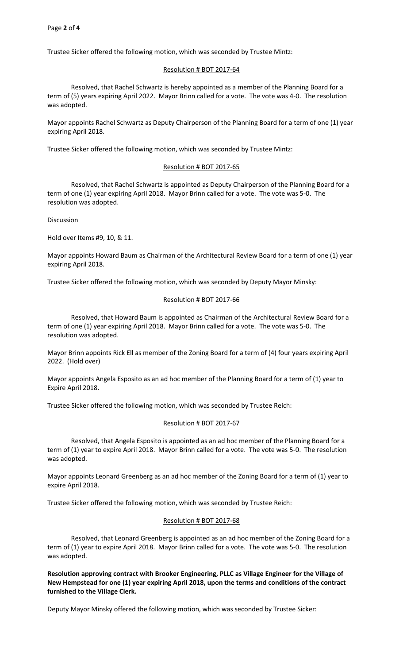Trustee Sicker offered the following motion, which was seconded by Trustee Mintz:

#### Resolution # BOT 2017-64

 Resolved, that Rachel Schwartz is hereby appointed as a member of the Planning Board for a term of (5) years expiring April 2022. Mayor Brinn called for a vote. The vote was 4-0. The resolution was adopted.

Mayor appoints Rachel Schwartz as Deputy Chairperson of the Planning Board for a term of one (1) year expiring April 2018.

Trustee Sicker offered the following motion, which was seconded by Trustee Mintz:

#### Resolution # BOT 2017-65

 Resolved, that Rachel Schwartz is appointed as Deputy Chairperson of the Planning Board for a term of one (1) year expiring April 2018. Mayor Brinn called for a vote. The vote was 5-0. The resolution was adopted.

Discussion

Hold over Items #9, 10, & 11.

Mayor appoints Howard Baum as Chairman of the Architectural Review Board for a term of one (1) year expiring April 2018.

Trustee Sicker offered the following motion, which was seconded by Deputy Mayor Minsky:

#### Resolution # BOT 2017-66

 Resolved, that Howard Baum is appointed as Chairman of the Architectural Review Board for a term of one (1) year expiring April 2018. Mayor Brinn called for a vote. The vote was 5-0. The resolution was adopted.

Mayor Brinn appoints Rick Ell as member of the Zoning Board for a term of (4) four years expiring April 2022. (Hold over)

Mayor appoints Angela Esposito as an ad hoc member of the Planning Board for a term of (1) year to Expire April 2018.

Trustee Sicker offered the following motion, which was seconded by Trustee Reich:

#### Resolution # BOT 2017-67

 Resolved, that Angela Esposito is appointed as an ad hoc member of the Planning Board for a term of (1) year to expire April 2018. Mayor Brinn called for a vote. The vote was 5-0. The resolution was adopted.

Mayor appoints Leonard Greenberg as an ad hoc member of the Zoning Board for a term of (1) year to expire April 2018.

Trustee Sicker offered the following motion, which was seconded by Trustee Reich:

#### Resolution # BOT 2017-68

 Resolved, that Leonard Greenberg is appointed as an ad hoc member of the Zoning Board for a term of (1) year to expire April 2018. Mayor Brinn called for a vote. The vote was 5-0. The resolution was adopted.

# **Resolution approving contract with Brooker Engineering, PLLC as Village Engineer for the Village of New Hempstead for one (1) year expiring April 2018, upon the terms and conditions of the contract furnished to the Village Clerk.**

Deputy Mayor Minsky offered the following motion, which was seconded by Trustee Sicker: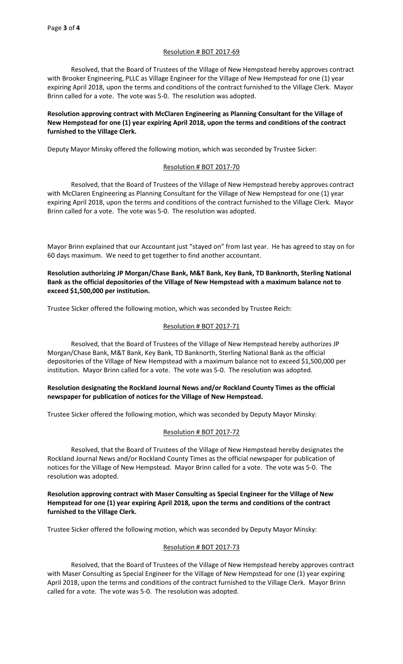## Resolution # BOT 2017-69

 Resolved, that the Board of Trustees of the Village of New Hempstead hereby approves contract with Brooker Engineering, PLLC as Village Engineer for the Village of New Hempstead for one (1) year expiring April 2018, upon the terms and conditions of the contract furnished to the Village Clerk. Mayor Brinn called for a vote. The vote was 5-0. The resolution was adopted.

# **Resolution approving contract with McClaren Engineering as Planning Consultant for the Village of New Hempstead for one (1) year expiring April 2018, upon the terms and conditions of the contract furnished to the Village Clerk.**

Deputy Mayor Minsky offered the following motion, which was seconded by Trustee Sicker:

## Resolution # BOT 2017-70

 Resolved, that the Board of Trustees of the Village of New Hempstead hereby approves contract with McClaren Engineering as Planning Consultant for the Village of New Hempstead for one (1) year expiring April 2018, upon the terms and conditions of the contract furnished to the Village Clerk. Mayor Brinn called for a vote. The vote was 5-0. The resolution was adopted.

Mayor Brinn explained that our Accountant just "stayed on" from last year. He has agreed to stay on for 60 days maximum. We need to get together to find another accountant.

**Resolution authorizing JP Morgan/Chase Bank, M&T Bank, Key Bank, TD Banknorth, Sterling National Bank as the official depositories of the Village of New Hempstead with a maximum balance not to exceed \$1,500,000 per institution.** 

Trustee Sicker offered the following motion, which was seconded by Trustee Reich:

## Resolution # BOT 2017-71

 Resolved, that the Board of Trustees of the Village of New Hempstead hereby authorizes JP Morgan/Chase Bank, M&T Bank, Key Bank, TD Banknorth, Sterling National Bank as the official depositories of the Village of New Hempstead with a maximum balance not to exceed \$1,500,000 per institution. Mayor Brinn called for a vote. The vote was 5-0. The resolution was adopted.

## **Resolution designating the Rockland Journal News and/or Rockland County Times as the official newspaper for publication of notices for the Village of New Hempstead.**

Trustee Sicker offered the following motion, which was seconded by Deputy Mayor Minsky:

## Resolution # BOT 2017-72

 Resolved, that the Board of Trustees of the Village of New Hempstead hereby designates the Rockland Journal News and/or Rockland County Times as the official newspaper for publication of notices for the Village of New Hempstead. Mayor Brinn called for a vote. The vote was 5-0. The resolution was adopted.

## **Resolution approving contract with Maser Consulting as Special Engineer for the Village of New Hempstead for one (1) year expiring April 2018, upon the terms and conditions of the contract furnished to the Village Clerk.**

Trustee Sicker offered the following motion, which was seconded by Deputy Mayor Minsky:

## Resolution # BOT 2017-73

 Resolved, that the Board of Trustees of the Village of New Hempstead hereby approves contract with Maser Consulting as Special Engineer for the Village of New Hempstead for one (1) year expiring April 2018, upon the terms and conditions of the contract furnished to the Village Clerk. Mayor Brinn called for a vote. The vote was 5-0. The resolution was adopted.